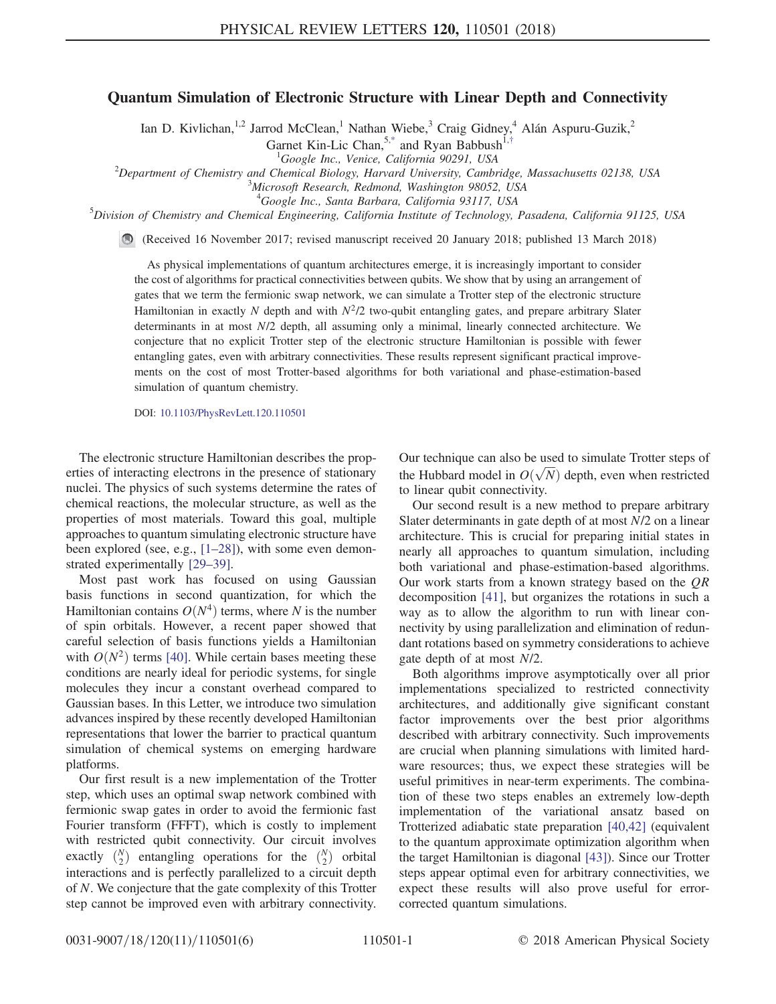## Quantum Simulation of Electronic Structure with Linear Depth and Connectivity

Ian D. Kivlichan,<sup>1,2</sup> Jarrod McClean,<sup>1</sup> Nathan Wiebe,<sup>3</sup> Craig Gidney,<sup>4</sup> Alán Aspuru-Guzik,<sup>2</sup>

Garnet Kin-Lic Chan,<sup>5[,\\*](#page-4-0)</sup> and Ryan Babbush<sup>1,[†](#page-4-1)</sup>

<span id="page-0-0"></span><sup>1</sup>Google Inc., Venice, California 90291, USA  $^{1}$ Google Inc., Venice, California 90291, USA<br><sup>2</sup>Department of Chemistry and Chemisal Biology, Harvard University, Cambr

Department of Chemistry and Chemical Biology, Harvard University, Cambridge, Massachusetts 02138, USA<br><sup>3</sup>Migrasoft Bassarah, Bedmond, Washington 08052, USA

 $3$ Microsoft Research, Redmond, Washington 98052, USA

<sup>4</sup>Google Inc., Santa Barbara, California 93117, USA

<sup>5</sup> Google Inc., Santa Barbara, California 93117, USA<br><sup>5</sup> Division of Chemistry and Chemical Engineering, California Institute of Technology, Pasadena, California 91125, USA

(Received 16 November 2017; revised manuscript received 20 January 2018; published 13 March 2018)

As physical implementations of quantum architectures emerge, it is increasingly important to consider the cost of algorithms for practical connectivities between qubits. We show that by using an arrangement of gates that we term the fermionic swap network, we can simulate a Trotter step of the electronic structure Hamiltonian in exactly N depth and with  $N^2/2$  two-qubit entangling gates, and prepare arbitrary Slater determinants in at most  $N/2$  depth, all assuming only a minimal, linearly connected architecture. We conjecture that no explicit Trotter step of the electronic structure Hamiltonian is possible with fewer entangling gates, even with arbitrary connectivities. These results represent significant practical improvements on the cost of most Trotter-based algorithms for both variational and phase-estimation-based simulation of quantum chemistry.

DOI: [10.1103/PhysRevLett.120.110501](https://doi.org/10.1103/PhysRevLett.120.110501)

The electronic structure Hamiltonian describes the properties of interacting electrons in the presence of stationary nuclei. The physics of such systems determine the rates of chemical reactions, the molecular structure, as well as the properties of most materials. Toward this goal, multiple approaches to quantum simulating electronic structure have been explored (see, e.g., [1–[28\]](#page-4-2)), with some even demonstrated experimentally [29–[39\].](#page-4-3)

Most past work has focused on using Gaussian basis functions in second quantization, for which the Hamiltonian contains  $O(N^4)$  terms, where N is the number of spin orbitals. However, a recent paper showed that careful selection of basis functions yields a Hamiltonian with  $O(N^2)$  terms [\[40\]](#page-5-0). While certain bases meeting these conditions are nearly ideal for periodic systems, for single molecules they incur a constant overhead compared to Gaussian bases. In this Letter, we introduce two simulation advances inspired by these recently developed Hamiltonian representations that lower the barrier to practical quantum simulation of chemical systems on emerging hardware platforms.

Our first result is a new implementation of the Trotter step, which uses an optimal swap network combined with fermionic swap gates in order to avoid the fermionic fast Fourier transform (FFFT), which is costly to implement with restricted qubit connectivity. Our circuit involves exactly  $\binom{N}{2}$  entangling operations for the  $\binom{N}{2}$  orbital interactions and is perfectly parallelized to a circuit depth of N. We conjecture that the gate complexity of this Trotter step cannot be improved even with arbitrary connectivity. Our technique can also be used to simulate Trotter steps of the Hubbard model in  $O(\sqrt{N})$  depth, even when restricted to linear qubit connectivity.

Our second result is a new method to prepare arbitrary Slater determinants in gate depth of at most N/2 on a linear architecture. This is crucial for preparing initial states in nearly all approaches to quantum simulation, including both variational and phase-estimation-based algorithms. Our work starts from a known strategy based on the  $QR$ decomposition [\[41\]](#page-5-1), but organizes the rotations in such a way as to allow the algorithm to run with linear connectivity by using parallelization and elimination of redundant rotations based on symmetry considerations to achieve gate depth of at most N/2.

Both algorithms improve asymptotically over all prior implementations specialized to restricted connectivity architectures, and additionally give significant constant factor improvements over the best prior algorithms described with arbitrary connectivity. Such improvements are crucial when planning simulations with limited hardware resources; thus, we expect these strategies will be useful primitives in near-term experiments. The combination of these two steps enables an extremely low-depth implementation of the variational ansatz based on Trotterized adiabatic state preparation [\[40,42\]](#page-5-0) (equivalent to the quantum approximate optimization algorithm when the target Hamiltonian is diagonal [\[43\]](#page-5-2)). Since our Trotter steps appear optimal even for arbitrary connectivities, we expect these results will also prove useful for errorcorrected quantum simulations.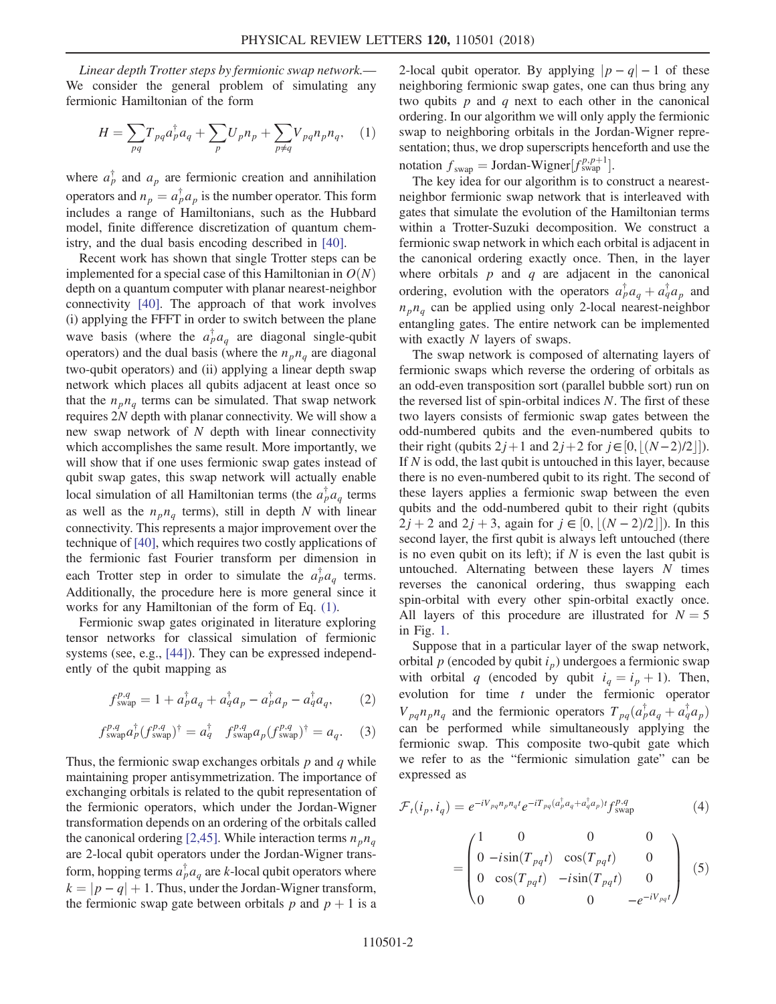<span id="page-1-0"></span>Linear depth Trotter steps by fermionic swap network.— We consider the general problem of simulating any fermionic Hamiltonian of the form

$$
H = \sum_{pq} T_{pq} a_p^{\dagger} a_q + \sum_{p} U_p n_p + \sum_{p \neq q} V_{pq} n_p n_q, \quad (1)
$$

where  $a_p^{\dagger}$  and  $a_p$  are fermionic creation and annihilation operators and  $n_p = a_p^{\dagger} a_p$  is the number operator. This form includes a range of Hamiltonians, such as the Hubbard model, finite difference discretization of quantum chemistry, and the dual basis encoding described in [\[40\]](#page-5-0).

Recent work has shown that single Trotter steps can be implemented for a special case of this Hamiltonian in  $O(N)$ depth on a quantum computer with planar nearest-neighbor connectivity [\[40\]](#page-5-0). The approach of that work involves (i) applying the FFFT in order to switch between the plane wave basis (where the  $a_p^{\dagger} a_q$  are diagonal single-qubit operators) and the dual basis (where the  $n_p n_q$  are diagonal two-qubit operators) and (ii) applying a linear depth swap network which places all qubits adjacent at least once so that the  $n_p n_q$  terms can be simulated. That swap network requires 2N depth with planar connectivity. We will show a new swap network of N depth with linear connectivity which accomplishes the same result. More importantly, we will show that if one uses fermionic swap gates instead of qubit swap gates, this swap network will actually enable local simulation of all Hamiltonian terms (the  $a_p^{\dagger}a_q$  terms as well as the  $n_p n_q$  terms), still in depth N with linear connectivity. This represents a major improvement over the technique of [\[40\],](#page-5-0) which requires two costly applications of the fermionic fast Fourier transform per dimension in each Trotter step in order to simulate the  $a_p^{\dagger} a_q$  terms. Additionally, the procedure here is more general since it works for any Hamiltonian of the form of Eq. [\(1\)](#page-1-0).

Fermionic swap gates originated in literature exploring tensor networks for classical simulation of fermionic systems (see, e.g., [\[44\]](#page-5-3)). They can be expressed independently of the qubit mapping as

$$
f_{\text{swap}}^{p,q} = 1 + a_p^{\dagger} a_q + a_q^{\dagger} a_p - a_p^{\dagger} a_p - a_q^{\dagger} a_q, \qquad (2)
$$

$$
f_{\text{swap}}^{p,q} a_p^{\dagger} (f_{\text{swap}}^{p,q})^{\dagger} = a_q^{\dagger} f_{\text{swap}}^{p,q} a_p (f_{\text{swap}}^{p,q})^{\dagger} = a_q. \tag{3}
$$

Thus, the fermionic swap exchanges orbitals  $p$  and  $q$  while maintaining proper antisymmetrization. The importance of exchanging orbitals is related to the qubit representation of the fermionic operators, which under the Jordan-Wigner transformation depends on an ordering of the orbitals called the canonical ordering [\[2,45\].](#page-4-4) While interaction terms  $n_p n_q$ are 2-local qubit operators under the Jordan-Wigner transform, hopping terms  $a_p^{\dagger} a_q$  are k-local qubit operators where  $k = |p - q| + 1$ . Thus, under the Jordan-Wigner transform, the fermionic swap gate between orbitals p and  $p + 1$  is a 2-local qubit operator. By applying  $|p - q| - 1$  of these neighboring fermionic swap gates, one can thus bring any two qubits  $p$  and  $q$  next to each other in the canonical ordering. In our algorithm we will only apply the fermionic swap to neighboring orbitals in the Jordan-Wigner representation; thus, we drop superscripts henceforth and use the notation  $f_{swap} = \text{Jordan-Wigner}[f_{swap}^{p,p+1}].$ 

The key idea for our algorithm is to construct a nearestneighbor fermionic swap network that is interleaved with gates that simulate the evolution of the Hamiltonian terms within a Trotter-Suzuki decomposition. We construct a fermionic swap network in which each orbital is adjacent in the canonical ordering exactly once. Then, in the layer where orbitals  $p$  and  $q$  are adjacent in the canonical ordering, evolution with the operators  $a_p^{\dagger} a_q + a_q^{\dagger} a_p$  and  $n_p n_q$  can be applied using only 2-local nearest-neighbor entangling gates. The entire network can be implemented with exactly N layers of swaps.

The swap network is composed of alternating layers of fermionic swaps which reverse the ordering of orbitals as an odd-even transposition sort (parallel bubble sort) run on the reversed list of spin-orbital indices N. The first of these two layers consists of fermionic swap gates between the odd-numbered qubits and the even-numbered qubits to their right (qubits  $2j+1$  and  $2j+2$  for  $j \in [0, \lfloor (N-2)/2 \rfloor]$ ). If  $N$  is odd, the last qubit is untouched in this layer, because there is no even-numbered qubit to its right. The second of these layers applies a fermionic swap between the even qubits and the odd-numbered qubit to their right (qubits  $2j + 2$  and  $2j + 3$ , again for  $j \in [0, \lfloor (N-2)/2 \rfloor]$ ). In this second layer, the first qubit is always left untouched (there is no even qubit on its left); if  $N$  is even the last qubit is untouched. Alternating between these layers  $N$  times reverses the canonical ordering, thus swapping each spin-orbital with every other spin-orbital exactly once. All layers of this procedure are illustrated for  $N = 5$ in Fig. [1](#page-2-0).

Suppose that in a particular layer of the swap network, orbital  $p$  (encoded by qubit  $i_p$ ) undergoes a fermionic swap with orbital q (encoded by qubit  $i_q = i_p + 1$ ). Then, evolution for time  $t$  under the fermionic operator  $V_{pq}n_p n_q$  and the fermionic operators  $T_{pq}(a_p^{\dagger} a_q + a_q^{\dagger} a_p)$ can be performed while simultaneously applying the fermionic swap. This composite two-qubit gate which we refer to as the "fermionic simulation gate" can be expressed as

$$
\mathcal{F}_t(i_p, i_q) = e^{-iV_{pq}n_p n_q t} e^{-iT_{pq}(a_p^{\dagger} a_q + a_q^{\dagger} a_p)t} f_{\text{swap}}^{p,q}
$$
\n
$$
\tag{4}
$$

$$
= \begin{pmatrix} 1 & 0 & 0 & 0 \\ 0 & -i\sin(T_{pq}t) & \cos(T_{pq}t) & 0 \\ 0 & \cos(T_{pq}t) & -i\sin(T_{pq}t) & 0 \\ 0 & 0 & 0 & -e^{-iV_{pq}t} \end{pmatrix}
$$
(5)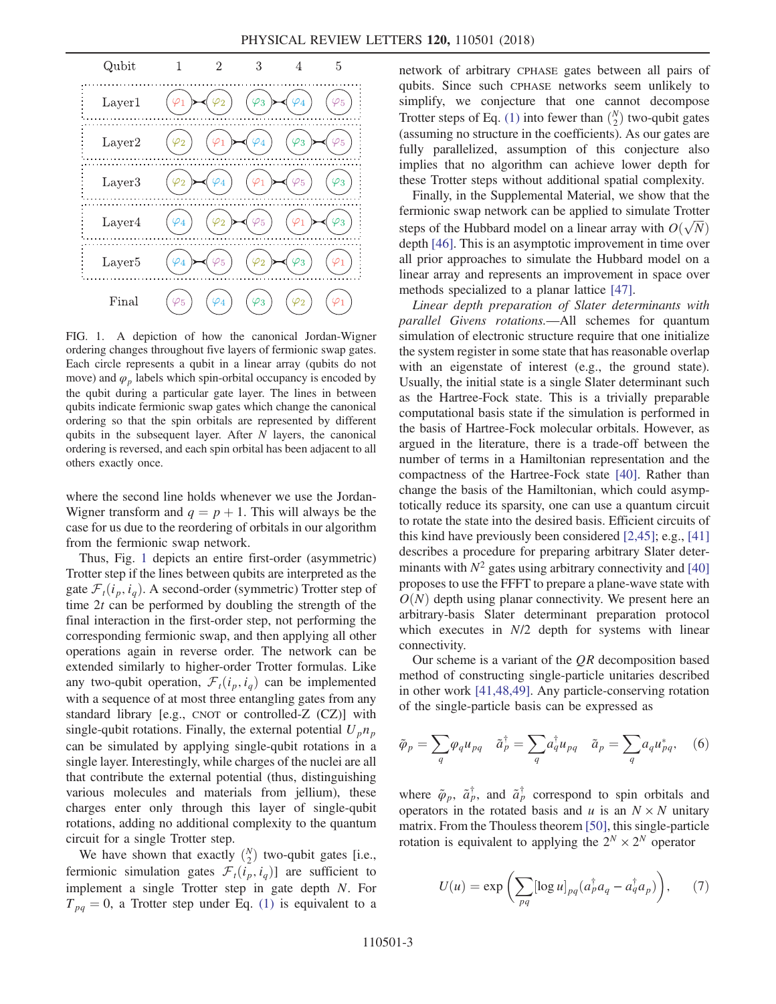<span id="page-2-0"></span>

FIG. 1. A depiction of how the canonical Jordan-Wigner ordering changes throughout five layers of fermionic swap gates. Each circle represents a qubit in a linear array (qubits do not move) and  $\varphi$ <sub>p</sub> labels which spin-orbital occupancy is encoded by the qubit during a particular gate layer. The lines in between qubits indicate fermionic swap gates which change the canonical ordering so that the spin orbitals are represented by different qubits in the subsequent layer. After  $N$  layers, the canonical ordering is reversed, and each spin orbital has been adjacent to all others exactly once.

where the second line holds whenever we use the Jordan-Wigner transform and  $q = p + 1$ . This will always be the case for us due to the reordering of orbitals in our algorithm from the fermionic swap network.

Thus, Fig. [1](#page-2-0) depicts an entire first-order (asymmetric) Trotter step if the lines between qubits are interpreted as the gate  $\mathcal{F}_t(i_p, i_q)$ . A second-order (symmetric) Trotter step of time  $2t$  can be performed by doubling the strength of the final interaction in the first-order step, not performing the corresponding fermionic swap, and then applying all other operations again in reverse order. The network can be extended similarly to higher-order Trotter formulas. Like any two-qubit operation,  $\mathcal{F}_t(i_p, i_q)$  can be implemented with a sequence of at most three entangling gates from any standard library [e.g., CNOT or controlled-Z (CZ)] with single-qubit rotations. Finally, the external potential  $U_p n_p$ can be simulated by applying single-qubit rotations in a single layer. Interestingly, while charges of the nuclei are all that contribute the external potential (thus, distinguishing various molecules and materials from jellium), these charges enter only through this layer of single-qubit rotations, adding no additional complexity to the quantum circuit for a single Trotter step.

We have shown that exactly  $\binom{N}{2}$  two-qubit gates [i.e., fermionic simulation gates  $\mathcal{F}_t(i_p, i_q)$  are sufficient to implement a single Trotter step in gate depth N. For  $T_{pq} = 0$ , a Trotter step under Eq. [\(1\)](#page-1-0) is equivalent to a network of arbitrary CPHASE gates between all pairs of qubits. Since such CPHASE networks seem unlikely to simplify, we conjecture that one cannot decompose Trotter steps of Eq. [\(1\)](#page-1-0) into fewer than  $\binom{N}{2}$  two-qubit gates (assuming no structure in the coefficients). As our gates are fully parallelized, assumption of this conjecture also implies that no algorithm can achieve lower depth for these Trotter steps without additional spatial complexity.

Finally, in the Supplemental Material, we show that the fermionic swap network can be applied to simulate Trotter steps of the Hubbard model on a linear array with  $O(\sqrt{N})$ depth [\[46\].](#page-5-4) This is an asymptotic improvement in time over all prior approaches to simulate the Hubbard model on a linear array and represents an improvement in space over methods specialized to a planar lattice [\[47\]](#page-5-5).

Linear depth preparation of Slater determinants with parallel Givens rotations.—All schemes for quantum simulation of electronic structure require that one initialize the system register in some state that has reasonable overlap with an eigenstate of interest (e.g., the ground state). Usually, the initial state is a single Slater determinant such as the Hartree-Fock state. This is a trivially preparable computational basis state if the simulation is performed in the basis of Hartree-Fock molecular orbitals. However, as argued in the literature, there is a trade-off between the number of terms in a Hamiltonian representation and the compactness of the Hartree-Fock state [\[40\].](#page-5-0) Rather than change the basis of the Hamiltonian, which could asymptotically reduce its sparsity, one can use a quantum circuit to rotate the state into the desired basis. Efficient circuits of this kind have previously been considered [\[2,45\]](#page-4-4); e.g., [\[41\]](#page-5-1) describes a procedure for preparing arbitrary Slater determinants with  $N^2$  gates using arbitrary connectivity and [\[40\]](#page-5-0) proposes to use the FFFT to prepare a plane-wave state with  $O(N)$  depth using planar connectivity. We present here an arbitrary-basis Slater determinant preparation protocol which executes in  $N/2$  depth for systems with linear connectivity.

Our scheme is a variant of the  $QR$  decomposition based method of constructing single-particle unitaries described in other work [\[41,48,49\]](#page-5-1). Any particle-conserving rotation of the single-particle basis can be expressed as

$$
\tilde{\varphi}_p = \sum_q \varphi_q u_{pq} \quad \tilde{a}_p^{\dagger} = \sum_q a_q^{\dagger} u_{pq} \quad \tilde{a}_p = \sum_q a_q u_{pq}^*, \quad (6)
$$

where  $\tilde{\varphi}_p$ ,  $\tilde{a}^\dagger_p$ , and  $\tilde{a}^\dagger_p$  correspond to spin orbitals and operators in the rotated basis and u is an  $N \times N$  unitary matrix. From the Thouless theorem [\[50\]](#page-5-6), this single-particle rotation is equivalent to applying the  $2^N \times 2^N$  operator

$$
U(u) = \exp\left(\sum_{pq} [\log u]_{pq} (a_p^{\dagger} a_q - a_q^{\dagger} a_p)\right), \qquad (7)
$$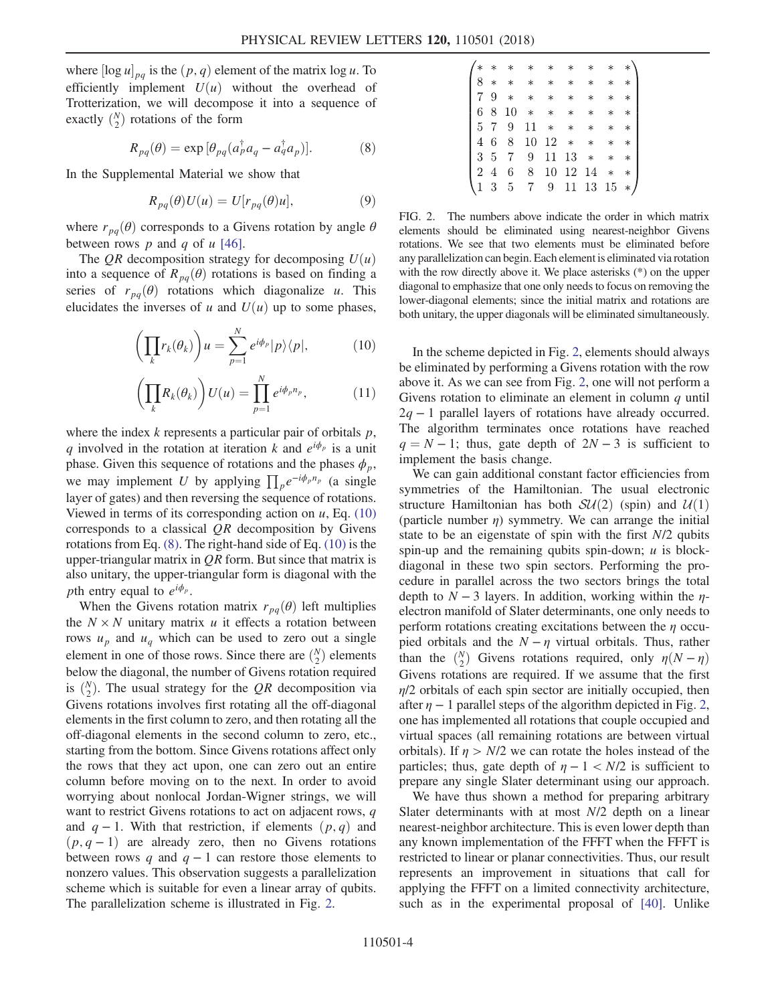<span id="page-3-1"></span>where  $[\log u]_{pq}$  is the  $(p, q)$  element of the matrix  $\log u$ . To efficiently implement  $U(u)$  without the overhead of Trotterization, we will decompose it into a sequence of exactly  $\binom{N}{2}$  rotations of the form

$$
R_{pq}(\theta) = \exp\left[\theta_{pq}(a_p^{\dagger}a_q - a_q^{\dagger}a_p)\right].
$$
 (8)

In the Supplemental Material we show that

$$
R_{pq}(\theta)U(u) = U[r_{pq}(\theta)u], \qquad (9)
$$

where  $r_{pq}(\theta)$  corresponds to a Givens rotation by angle  $\theta$ between rows  $p$  and  $q$  of  $u$  [\[46\]](#page-5-4).

<span id="page-3-0"></span>The QR decomposition strategy for decomposing  $U(u)$ into a sequence of  $R_{pq}(\theta)$  rotations is based on finding a series of  $r_{pq}(\theta)$  rotations which diagonalize u. This elucidates the inverses of u and  $U(u)$  up to some phases,

$$
\left(\prod_{k} r_{k}(\theta_{k})\right)u = \sum_{p=1}^{N} e^{i\phi_{p}}|p\rangle\langle p|, \qquad (10)
$$

$$
\left(\prod_{k} R_{k}(\theta_{k})\right)U(u) = \prod_{p=1}^{N} e^{i\phi_{p}n_{p}},
$$
\n(11)

where the index  $k$  represents a particular pair of orbitals  $p$ , q involved in the rotation at iteration k and  $e^{i\phi_p}$  is a unit phase. Given this sequence of rotations and the phases  $\phi_p$ , we may implement U by applying  $\prod_{p} e^{-i\phi_{p}n_{p}}$  (a single layer of gates) and then reversing the sequence of rotations. Viewed in terms of its corresponding action on  $u$ , Eq. [\(10\)](#page-3-0) corresponds to a classical  $QR$  decomposition by Givens rotations from Eq. [\(8\)](#page-3-1). The right-hand side of Eq. [\(10\)](#page-3-0) is the upper-triangular matrix in  $QR$  form. But since that matrix is also unitary, the upper-triangular form is diagonal with the *pth* entry equal to  $e^{i\phi_p}$ .

When the Givens rotation matrix  $r_{pa}(\theta)$  left multiplies the  $N \times N$  unitary matrix u it effects a rotation between rows  $u_p$  and  $u_q$  which can be used to zero out a single element in one of those rows. Since there are  $\binom{N}{2}$  elements below the diagonal, the number of Givens rotation required is  $\binom{N}{2}$ . The usual strategy for the QR decomposition via Givens rotations involves first rotating all the off-diagonal elements in the first column to zero, and then rotating all the off-diagonal elements in the second column to zero, etc., starting from the bottom. Since Givens rotations affect only the rows that they act upon, one can zero out an entire column before moving on to the next. In order to avoid worrying about nonlocal Jordan-Wigner strings, we will want to restrict Givens rotations to act on adjacent rows, q and  $q - 1$ . With that restriction, if elements  $(p, q)$  and  $(p, q - 1)$  are already zero, then no Givens rotations between rows q and  $q - 1$  can restore those elements to nonzero values. This observation suggests a parallelization scheme which is suitable for even a linear array of qubits. The parallelization scheme is illustrated in Fig. [2.](#page-3-2)

<span id="page-3-2"></span>

|     |    |             |                 | * * * * * *               |       |          | $*$ $*$ $*$ |        |
|-----|----|-------------|-----------------|---------------------------|-------|----------|-------------|--------|
|     |    |             |                 | 8 * * * * * *             |       |          | $* *$       |        |
|     |    |             | $7.9$ * *       | $*$                       | $*$   | $*$      | $*$         | $\ast$ |
| 6 8 |    | 10          |                 | $*$ $*$ $*$               |       | $*$      | $*$         | $\ast$ |
|     |    | 5 7 9       |                 | $11 \times \times \times$ |       |          | $*$         | $\ast$ |
|     | 46 | 8           |                 | $10 \t12 * *$             |       |          | $*$         | $\ast$ |
|     |    | 3 5 7       | 9               |                           | 11 13 |          | $*$ *       | $\ast$ |
| 2 4 |    | $6 -$       | 8.              |                           |       | 10 12 14 | $*$         | $\ast$ |
|     |    | $(1\;3\;5)$ | $7\overline{ }$ | 9                         |       | 11 13 15 |             | $*$ .  |
|     |    |             |                 |                           |       |          |             |        |

FIG. 2. The numbers above indicate the order in which matrix elements should be eliminated using nearest-neighbor Givens rotations. We see that two elements must be eliminated before any parallelization can begin. Each element is eliminated via rotation with the row directly above it. We place asterisks (\*) on the upper diagonal to emphasize that one only needs to focus on removing the lower-diagonal elements; since the initial matrix and rotations are both unitary, the upper diagonals will be eliminated simultaneously.

In the scheme depicted in Fig. [2,](#page-3-2) elements should always be eliminated by performing a Givens rotation with the row above it. As we can see from Fig. [2](#page-3-2), one will not perform a Givens rotation to eliminate an element in column  $q$  until  $2q - 1$  parallel layers of rotations have already occurred. The algorithm terminates once rotations have reached  $q = N - 1$ ; thus, gate depth of  $2N - 3$  is sufficient to implement the basis change.

We can gain additional constant factor efficiencies from symmetries of the Hamiltonian. The usual electronic structure Hamiltonian has both  $SU(2)$  (spin) and  $U(1)$ (particle number  $\eta$ ) symmetry. We can arrange the initial state to be an eigenstate of spin with the first N/2 qubits spin-up and the remaining qubits spin-down;  $u$  is blockdiagonal in these two spin sectors. Performing the procedure in parallel across the two sectors brings the total depth to  $N-3$  layers. In addition, working within the  $\eta$ electron manifold of Slater determinants, one only needs to perform rotations creating excitations between the  $\eta$  occupied orbitals and the  $N - \eta$  virtual orbitals. Thus, rather than the  $\binom{N}{2}$  Givens rotations required, only  $\eta(N - \eta)$ Givens rotations are required. If we assume that the first  $\eta/2$  orbitals of each spin sector are initially occupied, then after  $\eta$  – 1 parallel steps of the algorithm depicted in Fig. [2](#page-3-2), one has implemented all rotations that couple occupied and virtual spaces (all remaining rotations are between virtual orbitals). If  $\eta > N/2$  we can rotate the holes instead of the particles; thus, gate depth of  $n - 1 < N/2$  is sufficient to prepare any single Slater determinant using our approach.

We have thus shown a method for preparing arbitrary Slater determinants with at most N/2 depth on a linear nearest-neighbor architecture. This is even lower depth than any known implementation of the FFFT when the FFFT is restricted to linear or planar connectivities. Thus, our result represents an improvement in situations that call for applying the FFFT on a limited connectivity architecture, such as in the experimental proposal of [\[40\].](#page-5-0) Unlike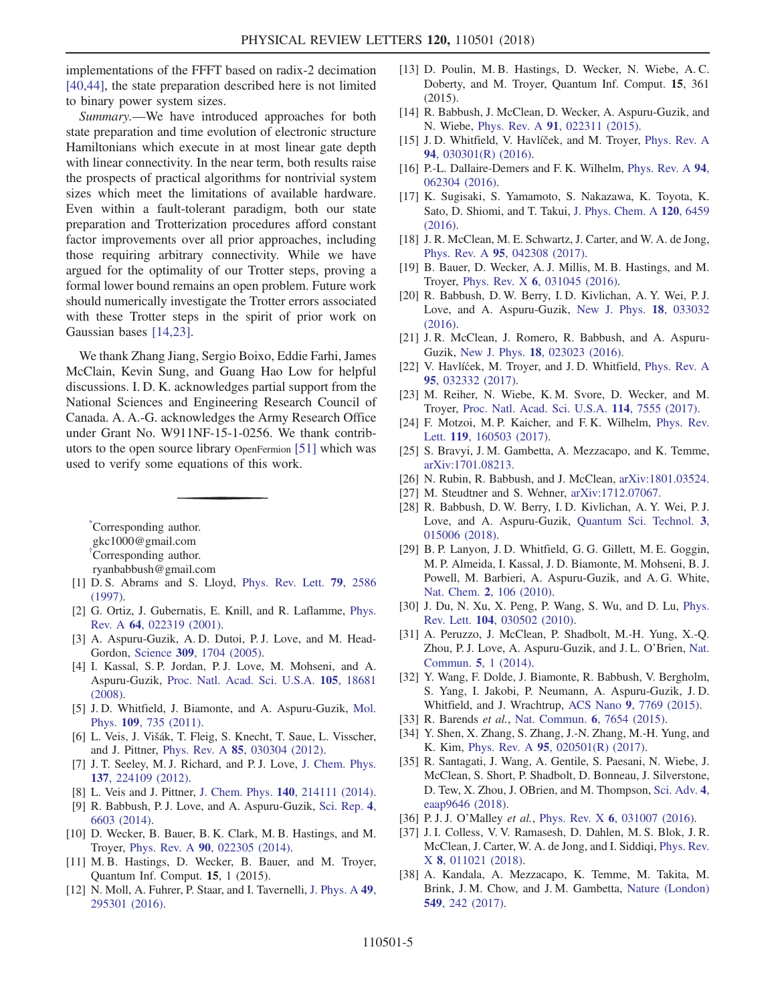implementations of the FFFT based on radix-2 decimation [\[40,44\]](#page-5-0), the state preparation described here is not limited to binary power system sizes.

Summary.—We have introduced approaches for both state preparation and time evolution of electronic structure Hamiltonians which execute in at most linear gate depth with linear connectivity. In the near term, both results raise the prospects of practical algorithms for nontrivial system sizes which meet the limitations of available hardware. Even within a fault-tolerant paradigm, both our state preparation and Trotterization procedures afford constant factor improvements over all prior approaches, including those requiring arbitrary connectivity. While we have argued for the optimality of our Trotter steps, proving a formal lower bound remains an open problem. Future work should numerically investigate the Trotter errors associated with these Trotter steps in the spirit of prior work on Gaussian bases [\[14,23\]](#page-4-5).

We thank Zhang Jiang, Sergio Boixo, Eddie Farhi, James McClain, Kevin Sung, and Guang Hao Low for helpful discussions. I. D. K. acknowledges partial support from the National Sciences and Engineering Research Council of Canada. A. A.-G. acknowledges the Army Research Office under Grant No. W911NF-15-1-0256. We thank contributors to the open source library OpenFermion [\[51\]](#page-5-7) which was used to verify some equations of this work.

<span id="page-4-1"></span><span id="page-4-0"></span>[\\*](#page-0-0) Corresponding author. gkc1000@gmail.com [†](#page-0-0) Corresponding author. ryanbabbush@gmail.com

- <span id="page-4-4"></span><span id="page-4-2"></span>[1] D. S. Abrams and S. Lloyd, [Phys. Rev. Lett.](https://doi.org/10.1103/PhysRevLett.79.2586) 79, 2586 [\(1997\).](https://doi.org/10.1103/PhysRevLett.79.2586)
- [2] G. Ortiz, J. Gubernatis, E. Knill, and R. Laflamme, [Phys.](https://doi.org/10.1103/PhysRevA.64.022319) Rev. A 64[, 022319 \(2001\)](https://doi.org/10.1103/PhysRevA.64.022319).
- [3] A. Aspuru-Guzik, A. D. Dutoi, P. J. Love, and M. Head-Gordon, Science 309[, 1704 \(2005\)](https://doi.org/10.1126/science.1113479).
- [4] I. Kassal, S. P. Jordan, P. J. Love, M. Mohseni, and A. Aspuru-Guzik, [Proc. Natl. Acad. Sci. U.S.A.](https://doi.org/10.1073/pnas.0808245105) 105, 18681 [\(2008\).](https://doi.org/10.1073/pnas.0808245105)
- [5] J. D. Whitfield, J. Biamonte, and A. Aspuru-Guzik, [Mol.](https://doi.org/10.1080/00268976.2011.552441) Phys. 109[, 735 \(2011\).](https://doi.org/10.1080/00268976.2011.552441)
- [6] L. Veis, J. Višák, T. Fleig, S. Knecht, T. Saue, L. Visscher, and J. Pittner, Phys. Rev. A 85[, 030304 \(2012\)](https://doi.org/10.1103/PhysRevA.85.030304).
- [7] J. T. Seeley, M. J. Richard, and P. J. Love, [J. Chem. Phys.](https://doi.org/10.1063/1.4768229) 137[, 224109 \(2012\).](https://doi.org/10.1063/1.4768229)
- [8] L. Veis and J. Pittner, J. Chem. Phys. **140**[, 214111 \(2014\).](https://doi.org/10.1063/1.4880755)
- [9] R. Babbush, P. J. Love, and A. Aspuru-Guzik, [Sci. Rep.](https://doi.org/10.1038/srep06603) 4, [6603 \(2014\)](https://doi.org/10.1038/srep06603).
- [10] D. Wecker, B. Bauer, B. K. Clark, M. B. Hastings, and M. Troyer, Phys. Rev. A 90[, 022305 \(2014\)](https://doi.org/10.1103/PhysRevA.90.022305).
- [11] M. B. Hastings, D. Wecker, B. Bauer, and M. Troyer, Quantum Inf. Comput. 15, 1 (2015).
- [12] N. Moll, A. Fuhrer, P. Staar, and I. Tavernelli, [J. Phys. A](https://doi.org/10.1088/1751-8113/49/29/295301) 49, [295301 \(2016\).](https://doi.org/10.1088/1751-8113/49/29/295301)
- [13] D. Poulin, M. B. Hastings, D. Wecker, N. Wiebe, A. C. Doberty, and M. Troyer, Quantum Inf. Comput. 15, 361 (2015).
- <span id="page-4-5"></span>[14] R. Babbush, J. McClean, D. Wecker, A. Aspuru-Guzik, and N. Wiebe, Phys. Rev. A 91[, 022311 \(2015\).](https://doi.org/10.1103/PhysRevA.91.022311)
- [15] J.D. Whitfield, V. Havlíček, and M. Troyer, [Phys. Rev. A](https://doi.org/10.1103/PhysRevA.94.030301) 94[, 030301\(R\) \(2016\)](https://doi.org/10.1103/PhysRevA.94.030301).
- [16] P.-L. Dallaire-Demers and F.K. Wilhelm, [Phys. Rev. A](https://doi.org/10.1103/PhysRevA.94.062304) 94, [062304 \(2016\).](https://doi.org/10.1103/PhysRevA.94.062304)
- [17] K. Sugisaki, S. Yamamoto, S. Nakazawa, K. Toyota, K. Sato, D. Shiomi, and T. Takui, [J. Phys. Chem. A](https://doi.org/10.1021/acs.jpca.6b04932) 120, 6459 [\(2016\).](https://doi.org/10.1021/acs.jpca.6b04932)
- [18] J. R. McClean, M. E. Schwartz, J. Carter, and W. A. de Jong, Phys. Rev. A 95[, 042308 \(2017\)](https://doi.org/10.1103/PhysRevA.95.042308).
- [19] B. Bauer, D. Wecker, A. J. Millis, M. B. Hastings, and M. Troyer, Phys. Rev. X 6[, 031045 \(2016\)](https://doi.org/10.1103/PhysRevX.6.031045).
- [20] R. Babbush, D. W. Berry, I. D. Kivlichan, A. Y. Wei, P. J. Love, and A. Aspuru-Guzik, [New J. Phys.](https://doi.org/10.1088/1367-2630/18/3/033032) 18, 033032  $(2016)$ .
- [21] J.R. McClean, J. Romero, R. Babbush, and A. Aspuru-Guzik, New J. Phys. 18[, 023023 \(2016\)](https://doi.org/10.1088/1367-2630/18/2/023023).
- [22] V. Havlíćek, M. Troyer, and J. D. Whitfield, [Phys. Rev. A](https://doi.org/10.1103/PhysRevA.95.032332) 95[, 032332 \(2017\).](https://doi.org/10.1103/PhysRevA.95.032332)
- [23] M. Reiher, N. Wiebe, K. M. Svore, D. Wecker, and M. Troyer, [Proc. Natl. Acad. Sci. U.S.A.](https://doi.org/10.1073/pnas.1619152114) 114, 7555 (2017).
- [24] F. Motzoi, M. P. Kaicher, and F. K. Wilhelm, [Phys. Rev.](https://doi.org/10.1103/PhysRevLett.119.160503) Lett. 119[, 160503 \(2017\)](https://doi.org/10.1103/PhysRevLett.119.160503).
- [25] S. Bravyi, J. M. Gambetta, A. Mezzacapo, and K. Temme, [arXiv:1701.08213.](http://arXiv.org/abs/1701.08213)
- [26] N. Rubin, R. Babbush, and J. McClean, [arXiv:1801.03524.](http://arXiv.org/abs/1801.03524)
- [27] M. Steudtner and S. Wehner, [arXiv:1712.07067.](http://arXiv.org/abs/1712.07067)
- [28] R. Babbush, D. W. Berry, I. D. Kivlichan, A. Y. Wei, P. J. Love, and A. Aspuru-Guzik, [Quantum Sci. Technol.](https://doi.org/10.1088/2058-9565/aa9463) 3, [015006 \(2018\).](https://doi.org/10.1088/2058-9565/aa9463)
- <span id="page-4-3"></span>[29] B. P. Lanyon, J. D. Whitfield, G. G. Gillett, M. E. Goggin, M. P. Almeida, I. Kassal, J. D. Biamonte, M. Mohseni, B. J. Powell, M. Barbieri, A. Aspuru-Guzik, and A. G. White, Nat. Chem. 2[, 106 \(2010\).](https://doi.org/10.1038/nchem.483)
- [30] J. Du, N. Xu, X. Peng, P. Wang, S. Wu, and D. Lu, [Phys.](https://doi.org/10.1103/PhysRevLett.104.030502) Rev. Lett. 104[, 030502 \(2010\).](https://doi.org/10.1103/PhysRevLett.104.030502)
- [31] A. Peruzzo, J. McClean, P. Shadbolt, M.-H. Yung, X.-Q. Zhou, P. J. Love, A. Aspuru-Guzik, and J. L. O'Brien, [Nat.](https://doi.org/10.1038/ncomms5213) Commun. 5[, 1 \(2014\)](https://doi.org/10.1038/ncomms5213).
- [32] Y. Wang, F. Dolde, J. Biamonte, R. Babbush, V. Bergholm, S. Yang, I. Jakobi, P. Neumann, A. Aspuru-Guzik, J. D. Whitfield, and J. Wrachtrup, ACS Nano 9[, 7769 \(2015\).](https://doi.org/10.1021/acsnano.5b01651)
- [33] R. Barends et al., [Nat. Commun.](https://doi.org/10.1038/ncomms8654) 6, 7654 (2015).
- [34] Y. Shen, X. Zhang, S. Zhang, J.-N. Zhang, M.-H. Yung, and K. Kim, Phys. Rev. A 95[, 020501\(R\) \(2017\).](https://doi.org/10.1103/PhysRevA.95.020501)
- [35] R. Santagati, J. Wang, A. Gentile, S. Paesani, N. Wiebe, J. McClean, S. Short, P. Shadbolt, D. Bonneau, J. Silverstone, D. Tew, X. Zhou, J. OBrien, and M. Thompson, [Sci. Adv.](https://doi.org/10.1126/sciadv.aap9646) 4, [eaap9646 \(2018\)](https://doi.org/10.1126/sciadv.aap9646).
- [36] P. J. J. O'Malley et al., Phys. Rev. X 6[, 031007 \(2016\).](https://doi.org/10.1103/PhysRevX.6.031007)
- [37] J. I. Colless, V. V. Ramasesh, D. Dahlen, M. S. Blok, J. R. McClean, J. Carter, W. A. de Jong, and I. Siddiqi, [Phys. Rev.](https://doi.org/10.1103/PhysRevX.8.011021) X 8[, 011021 \(2018\)](https://doi.org/10.1103/PhysRevX.8.011021).
- [38] A. Kandala, A. Mezzacapo, K. Temme, M. Takita, M. Brink, J. M. Chow, and J. M. Gambetta, [Nature \(London\)](https://doi.org/10.1038/nature23879) 549[, 242 \(2017\)](https://doi.org/10.1038/nature23879).